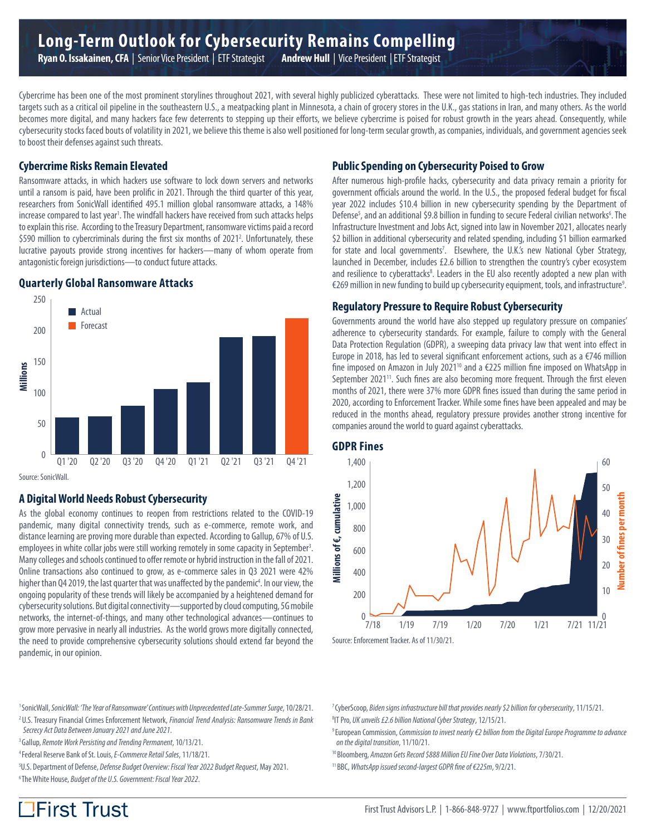Cybercrime has been one of the most prominent storylines throughout 2021, with several highly publicized cyberattacks. These were not limited to high-tech industries. They included targets such as a critical oil pipeline in the southeastern U.S., a meatpacking plant in Minnesota, a chain of grocery stores in the U.K., gas stations in Iran, and many others. As the world becomes more digital, and many hackers face few deterrents to stepping up their efforts, we believe cybercrime is poised for robust growth in the years ahead. Consequently, while cybersecurity stocks faced bouts of volatility in 2021, we believe this theme is also well positioned for long-term secular growth, as companies, individuals, and government agencies seek to boost their defenses against such threats.

### **Cybercrime Risks Remain Elevated**

Ransomware attacks, in which hackers use software to lock down servers and networks until a ransom is paid, have been prolific in 2021. Through the third quarter of this year, researchers from SonicWall identified 495.1 million global ransomware attacks, a 148% increase compared to last year<sup>1</sup>. The windfall hackers have received from such attacks helps to explain this rise. According to the Treasury Department, ransomware victims paid a record \$590 million to cybercriminals during the first six months of 2021<sup>2</sup>. Unfortunately, these lucrative payouts provide strong incentives for hackers—many of whom operate from antagonistic foreign jurisdictions—to conduct future attacks.

## **Quarterly Global Ransomware Attacks**



Source: SonicWall.

## **A Digital World Needs Robust Cybersecurity**

As the global economy continues to reopen from restrictions related to the COVID-19 pandemic, many digital connectivity trends, such as e-commerce, remote work, and distance learning are proving more durable than expected. According to Gallup, 67% of U.S. employees in white collar jobs were still working remotely in some capacity in September<sup>3</sup>. Many colleges and schools continued to offer remote or hybrid instruction in the fall of 2021. Online transactions also continued to grow, as e-commerce sales in Q3 2021 were 42% higher than Q4 2019, the last quarter that was unaffected by the pandemic<sup>4</sup>. In our view, the ongoing popularity of these trends will likely be accompanied by a heightened demand for cybersecurity solutions. But digital connectivity—supported by cloud computing, 5G mobile networks, the internet-of-things, and many other technological advances—continues to grow more pervasive in nearly all industries. As the world grows more digitally connected, the need to provide comprehensive cybersecurity solutions should extend far beyond the pandemic, in our opinion.

# **Public Spending on Cybersecurity Poised to Grow**

After numerous high-profile hacks, cybersecurity and data privacy remain a priority for government officials around the world. In the U.S., the proposed federal budget for fiscal year 2022 includes \$10.4 billion in new cybersecurity spending by the Department of Defense<sup>5</sup>, and an additional \$9.8 billion in funding to secure Federal civilian networks<sup>6</sup>. The Infrastructure Investment and Jobs Act, signed into law in November 2021, allocates nearly \$2 billion in additional cybersecurity and related spending, including \$1 billion earmarked for state and local governments<sup>7</sup>. Elsewhere, the U.K.'s new National Cyber Strategy, launched in December, includes £2.6 billion to strengthen the country's cyber ecosystem and resilience to cyberattacks<sup>8</sup>. Leaders in the EU also recently adopted a new plan with €269 million in new funding to build up cybersecurity equipment, tools, and infrastructure9 .

#### **Regulatory Pressure to Require Robust Cybersecurity**

Governments around the world have also stepped up regulatory pressure on companies' adherence to cybersecurity standards. For example, failure to comply with the General Data Protection Regulation (GDPR), a sweeping data privacy law that went into effect in Europe in 2018, has led to several significant enforcement actions, such as a  $\epsilon$ 746 million fine imposed on Amazon in July 2021<sup>10</sup> and a  $\epsilon$ 225 million fine imposed on WhatsApp in September 2021<sup>11</sup>. Such fines are also becoming more frequent. Through the first eleven months of 2021, there were 37% more GDPR fines issued than during the same period in 2020, according to Enforcement Tracker. While some fines have been appealed and may be reduced in the months ahead, regulatory pressure provides another strong incentive for companies around the world to guard against cyberattacks.

#### **GDPR Fines**



Source: Enforcement Tracker. As of 11/30/21.

1 SonicWall, *SonicWall: 'The Year of Ransomware' Continues with Unprecedented Late-Summer Surge*, 10/28/21. 2 U.S. Treasury Financial Crimes Enforcement Network, *Financial Trend Analysis: Ransomware Trends in Bank* 

- *Secrecy Act Data Between January 2021 and June 2021*.
- 3 Gallup, *Remote Work Persisting and Trending Permanent*, 10/13/21.
- 4 Federal Reserve Bank of St. Louis, *E-Commerce Retail Sales*, 11/18/21.
- 5 U.S. Department of Defense, *Defense Budget Overview: Fiscal Year 2022 Budget Request*, May 2021. 6 The White House, *Budget of the U.S. Government: Fiscal Year 2022*.

7 CyberScoop, *Biden signs infrastructure bill that provides nearly \$2 billion for cybersecurity*, 11/15/21.

- 8 IT Pro, *UK unveils £2.6 billion National Cyber Strategy*, 12/15/21.
- 9 European Commission, *Commission to invest nearly €2 billion from the Digital Europe Programme to advance on the digital transition*, 11/10/21.
- 10 Bloomberg, *Amazon Gets Record \$888 Million EU Fine Over Data Violations*, 7/30/21.
- 11 BBC, *WhatsApp issued second-largest GDPR fine of €225m*, 9/2/21.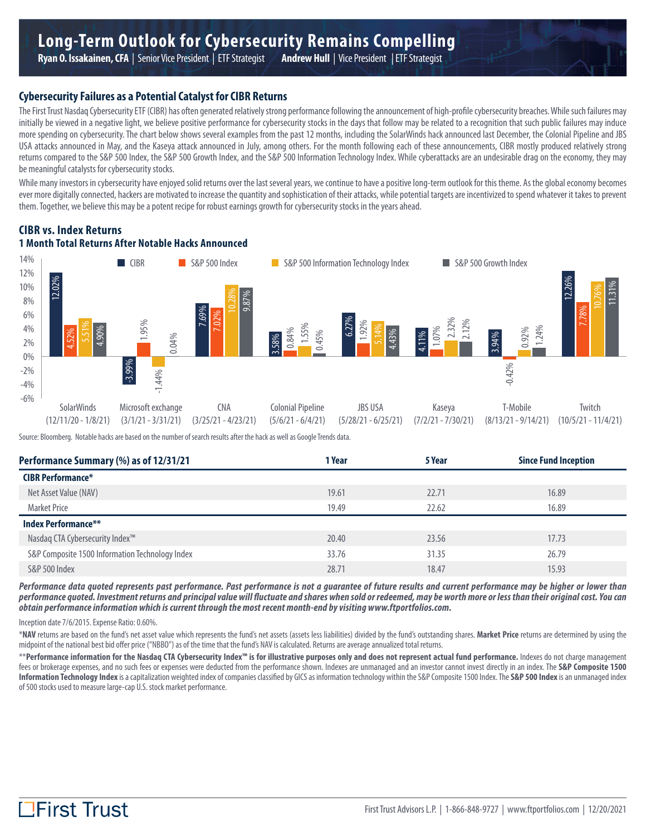#### **Cybersecurity Failures as a Potential Catalyst for CIBR Returns**

The First Trust Nasdaq Cybersecurity ETF (CIBR) has often generated relatively strong performance following the announcement of high-profile cybersecurity breaches. While such failures may initially be viewed in a negative light, we believe positive performance for cybersecurity stocks in the days that follow may be related to a recognition that such public failures may induce more spending on cybersecurity. The chart below shows several examples from the past 12 months, including the SolarWinds hack announced last December, the Colonial Pipeline and JBS USA attacks announced in May, and the Kaseya attack announced in July, among others. For the month following each of these announcements, CIBR mostly produced relatively strong returns compared to the S&P 500 Index, the S&P 500 Growth Index, and the S&P 500 Information Technology Index. While cyberattacks are an undesirable drag on the economy, they may be meaningful catalysts for cybersecurity stocks.

While many investors in cybersecurity have enjoyed solid returns over the last several years, we continue to have a positive long-term outlook for this theme. As the global economy becomes ever more digitally connected, hackers are motivated to increase the quantity and sophistication of their attacks, while potential targets are incentivized to spend whatever it takes to prevent them. Together, we believe this may be a potent recipe for robust earnings growth for cybersecurity stocks in the years ahead.

#### **CIBR vs. Index Returns 1 Month Total Returns After Notable Hacks Announced**



Source: Bloomberg. Notable hacks are based on the number of search results after the hack as well as Google Trends data.

| Performance Summary (%) as of 12/31/21          | 1 Year | 5 Year | <b>Since Fund Inception</b> |
|-------------------------------------------------|--------|--------|-----------------------------|
| <b>CIBR Performance*</b>                        |        |        |                             |
| Net Asset Value (NAV)                           | 19.61  | 22.71  | 16.89                       |
| <b>Market Price</b>                             | 19.49  | 22.62  | 16.89                       |
| <b>Index Performance**</b>                      |        |        |                             |
| Nasdaq CTA Cybersecurity Index <sup>™</sup>     | 20.40  | 23.56  | 17.73                       |
| S&P Composite 1500 Information Technology Index | 33.76  | 31.35  | 26.79                       |
| S&P 500 Index                                   | 28.71  | 18.47  | 15.93                       |
|                                                 |        |        |                             |

*Performance data quoted represents past performance. Past performance is not a guarantee of future results and current performance may be higher or lower than performance quoted. Investment returns and principal value will fluctuate and shares when sold or redeemed, may be worth more or less than their original cost. You can obtain performance information which is current through the most recent month-end by visiting www.ftportfolios.com.*

Inception date 7/6/2015. Expense Ratio: 0.60%.

\***NAV** returns are based on the fund's net asset value which represents the fund's net assets (assets less liabilities) divided by the fund's outstanding shares. **Market Price** returns are determined by using the midpoint of the national best bid offer price ("NBBO") as of the time that the fund's NAV is calculated. Returns are average annualized total returns.

\*\*Performance information for the Nasdaq CTA Cybersecurity Index<sup>m</sup> is for illustrative purposes only and does not represent actual fund performance. Indexes do not charge management fees or brokerage expenses, and no such fees or expenses were deducted from the performance shown. Indexes are unmanaged and an investor cannot invest directly in an index. The **S&P Composite 1500 Information Technology Index** is a capitalization weighted index of companies classified by GICS as information technology within the S&P Composite 1500 Index. The **S&P 500 Index** is an unmanaged index of 500 stocks used to measure large-cap U.S. stock market performance.